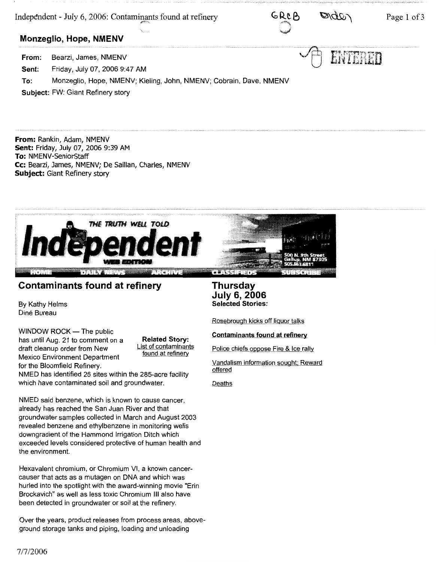Independent - July 6, 2006: Contaminants found at refinery



ENTERED

## **Monzeglio, Hope, NMENV**

**From:**  Bearzi, James, NMENV

**Sent:**  Friday, July 07, 2006 9:47 AM

**To:** Monzeglio, Hope, NMENV; Kieling, John, NMENV; Cobrain, Dave, NMENV

**Subject:** FW: Giant Refinery story

**From:** Rankin, Adam, NMENV **Sent:** Friday, July 07, 2006 9:39 AM **To:** NMENV-SeniorStaff **Cc:** Bearzi, James, NMENV; De Saillan, Charles, NMENV **Subject:** Giant Refinery story



# **Contaminants found at refinery**

By Kathy Helms Dine Bureau

 $WINDOW$  ROCK  $-$  The public has until Aug. 21 to comment on a draft cleanup order from New Mexico Environment Department for the Bloomfield Refinery.

**Related Story:**  List of contaminants found at refinery

NMED has identified 26 sites within the 285-acre facility which have contaminated soil and groundwater.

NMED said benzene, which is known to cause cancer, already has reached the San Juan River and that groundwater samples collected in March and August 2003 revealed benzene and ethylbenzene in monitoring wells downgradient of the Hammond Irrigation Ditch which exceeded levels considered protective of human health and the environment.

Hexavalent chromium, or Chromium VI, a known cancercauser that acts as a mutagen on DNA and which was hurled into the spotlight with the award-winning movie "Erin Brockavich" as well as less toxic Chromium Ill also have been detected in groundwater or soil at the refinery.

Over the years, product releases from process areas, aboveground storage tanks and piping, loading and unloading

**Thursday July 6, 2006 Selected Stories:** 

Rosebrough kicks off liquor talks

**Contaminants found at refinery** 

Police chiefs oppose Fire & Ice rally

Vandalism information sought: Reward offered

Deaths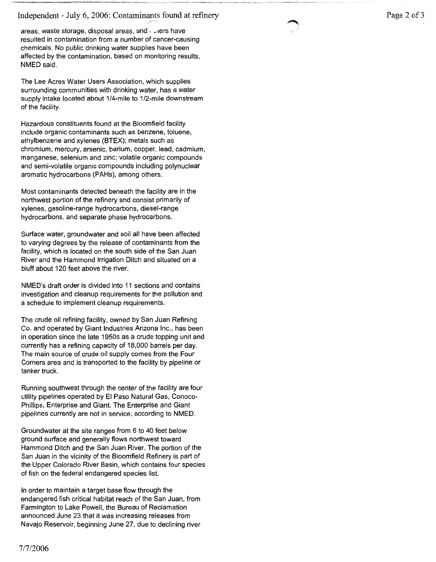### Independent - July 6, 2006: Contaminants found at refinery

*F'* 

areas, waste storage, disposal areas, and .. , ,ers have resulted in contamination from a number of cancer-causing chemicals. No public drinking water supplies have been affected by the contamination, based on monitoring results, NMED said.

The Lee Acres Water Users Association, which supplies surrounding communities with drinking water, has a water supply intake located about 1/4-mile to 1/2-mile downstream of the facility.

Hazardous constituents found at the Bloomfield facility include organic contaminants such as benzene, toluene, ethylbenzene and xylenes (BTEX); metals such as chromium, mercury, arsenic, barium, copper, lead, cadmium, manganese, selenium and zinc; volatile organic compounds and semi-volatile organic compounds including polynuclear aromatic hydrocarbons (PAHs), among others.

Most contaminants detected beneath the facility are in the northwest portion of the refinery and consist primarily of xylenes, gasoline-range hydrocarbons, diesel-range hydrocarbons, and separate phase hydrocarbons.

Surface water, groundwater and soil all have been affected to varying degrees by the release of contaminants from the facility, which is located on the south side of the San Juan River and the Hammond Irrigation Ditch and situated on a bluff about 120 feet above the river.

NMED's draft order is divided into 11 sections and contains investigation and cleanup requirements for the pollution and a schedule to implement cleanup requirements.

The crude oil refining facility, owned by San Juan Refining Co. and operated by Giant Industries Arizona Inc., has been in operation since the late 1950s as a crude topping unit and currently has a refining capacity of 18,000 barrels per day. The main source of crude oil supply comes from the Four Corners area and is transported to the facility by pipeline or tanker truck.

Running southwest through the center of the facility are four utility pipelines operated by El Paso Natural Gas, Conoco-Phillips, Enterprise and Giant. The Enterprise and Giant pipelines currently are not in service, according to NMED.

Groundwater at the site ranges from 6 to 40 feet below ground surface and generally flows northwest toward Hammond Ditch and the San Juan River. The portion of the San Juan in the vicinity of the Bloomfield Refinery is part of the Upper Colorado River Basin, which contains four species of fish on the federal endangered species list.

In order to maintain a target base flow through the endangered fish critical habitat reach of the San Juan, from Farmington to Lake Powell, the Bureau of Reclamation announced June 23 that it was increasing releases from Navajo Reservoir, beginning June 27, due to declining river

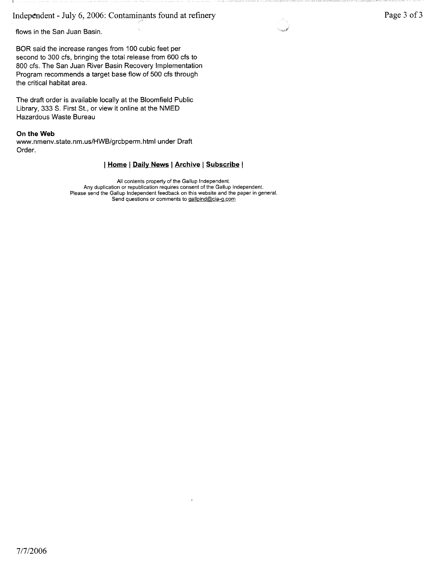Independent - July 6, 2006: Contaminants found at refinery

flows in the San Juan Basin.

BOR said the increase ranges from 100 cubic feet per second to 300 cfs, bringing the total release from 600 cfs to 800 cfs. The San Juan River Basin Recovery Implementation Program recommends a target base flow of 500 cfs through the critical habitat area.

The draft order is available locally at the Bloomfield Public Library, 333 S. First St., or view it online at the NMED Hazardous Waste Bureau

#### **On the Web**

www.nmenv.state.nm.us/HWB/grcbperm.html under Draft Order.

#### I **Home I Daily News I Archive I Subscribe** I

All contents property of the Gallup Independent. Any duplication or republication requires consent of the Gallup Independent. Please send the Gallup Independent feedback on this website and the paper in general. Send questions or comments to gallpind@cia-g.com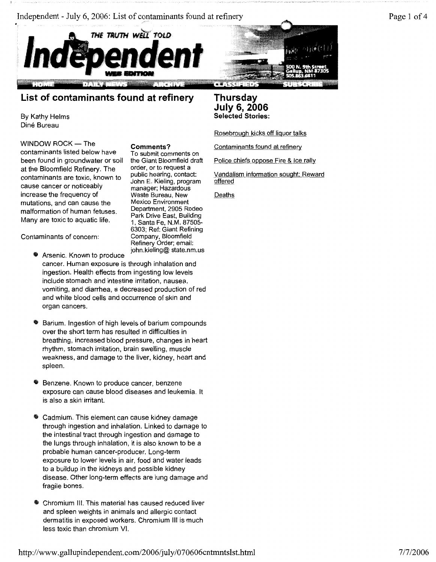





# **List of contaminants found at refinery**

By Kathy Helms Dine Bureau

 $WINDOW$  ROCK  $-$  The contaminants listed below have been found in groundwater or soil at the Bloomfield Refinery. The contaminants are toxic, known to cause cancer or noticeably increase the frequency of mutations, and can cause the malformation of human fetuses. Many are toxic to aquatic life.

**Comments?**  To submit comments on the Giant Bloomfield draft order, or to request a public hearing, contact: John E. Kieling, program manager; Hazardous Waste Bureau, New Mexico Environment Department, 2905 Rodeo Park Drive East, Building 1, Santa Fe, N.M. 87505- 6303; Ref: Giant Refining Company, Bloomfield Refinery Order; email: john.kieling@ state.nm.us

Contaminants of concern:

- **EX Arsenic. Known to produce** cancer. Human exposure is through inhalation and ingestion. Health effects from ingesting low levels include stomach and intestine irritation, nausea, vomiting, and diarrhea, a decreased production of red and white blood cells and occurrence of skin and organ cancers.
- Barium. Ingestion of high levels of barium compounds over the short term has resulted in difficulties in breathing, increased blood pressure, changes in heart rhythm, stomach irritation, brain swelling, muscle weakness, and damage to the liver, kidney, heart and spleen.
- Benzene. Known to produce cancer, benzene exposure can cause blood diseases and leukemia. It is also a skin irritant.
- Cadmium. This element can cause kidney damage through ingestion and inhalation. Linked to damage to the intestinal tract through ingestion and damage to the lungs through inhalation, it is also known to be a probable human cancer-producer. Long-term exposure to lower levels in air, food and water leads to a buildup in the kidneys and possible kidney disease. Other long-term effects are lung damage and fragile bones.
- Chromium III. This material has caused reduced liver and spleen weights in animals and allergic contact dermatitis in exposed workers. Chromium Ill is much less toxic than chromium VI.

## **Thursday July 6, 2006 Selected Stories:**

Rosebrough kicks off liquor talks

Contaminants found at refinery

Police chiefs oppose Fire & Ice rally

Vandalism information sought: Reward offered

Deaths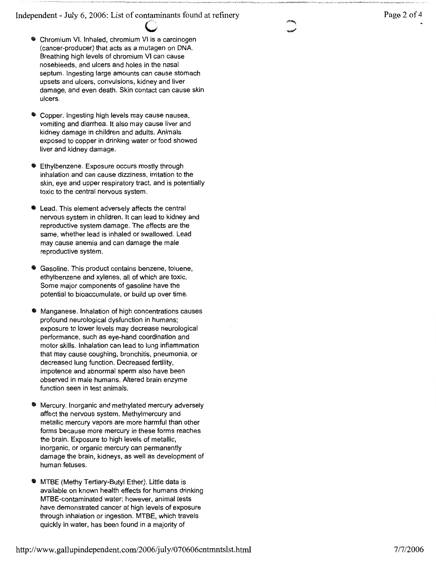Independent - July 6, 2006: List of contaminants found at refinery

- Chromium VI. Inhaled, chromium VI is a carcinogen (cancer-producer) that acts as a mutagen on DNA. Breathing high levels of chromium VI can cause nosebleeds, and ulcers and holes in the nasal septum. Ingesting large amounts can cause stomach upsets and ulcers, convulsions, kidney and liver damage, and even death. Skin contact can cause skin ulcers.
- Copper. Ingesting high levels may cause nausea, vomiting and diarrhea. It also may cause liver and kidney damage in children and adults. Animals exposed to copper in drinking water or food showed liver and kidney damage.
- Ethylbenzene. Exposure occurs mostly through inhalation and can cause dizziness, irritation to the skin, eye and upper respiratory tract, and is potentially toxic to the central nervous system.
- Lead. This element adversely affects the central nervous system in children. It can lead to kidney and reproductive system damage. The effects are the same, whether lead is inhaled or swallowed. Lead may cause anemia and can damage the male reproductive system.
- Gasoline. This product contains benzene, toluene, ethylbenzene and xylenes, all of which are toxic. Some major components of gasoline have the potential to bioaccumulate, or build up over time.
- Manganese. Inhalation of high concentrations causes profound neurological dysfunction in humans; exposure to lower levels may decrease neurological performance, such as eye-hand coordination and motor skills. Inhalation can lead to lung inflammation that may cause coughing, bronchitis, pneumonia, or decreased lung function. Decreased fertility, impotence and abnormal sperm also have been observed in male humans. Altered brain enzyme function seen in test animals.
- Mercury. Inorganic and methylated mercury adversely affect the nervous system. Methylmercury and metallic mercury vapors are more harmful than other forms because more mercury in these forms reaches the brain. Exposure to high levels of metallic, inorganic, or organic mercury can permanently damage the brain, kidneys, as well as development of human fetuses.
- MTBE (Methy Tertiary-Butyl Ether). Little data is available on known health effects for humans drinking MTBE-contaminated water; however, animal tests have demonstrated cancer at high levels of exposure through inhalation or ingestion. MTBE, which travels quickly in water, has been found in a majority of

# Page 2 of 4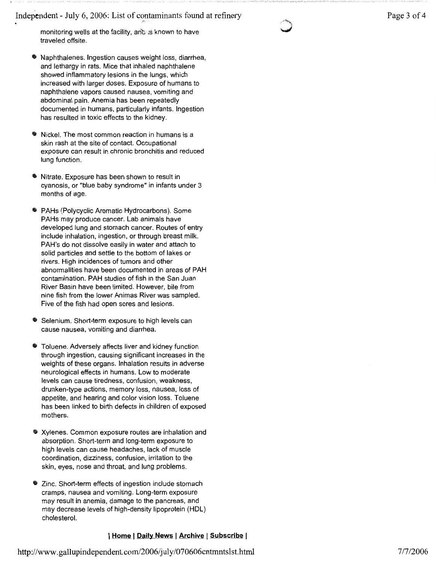Independent - July 6, 2006: List of contaminants found at refinery

monitoring wells at the facility, and is known to have traveled offsite.

- Naphthalenes. Ingestion causes weight loss, diarrhea, and lethargy in rats. Mice that inhaled naphthalene showed inflammatory lesions in the lungs, which increased with larger doses. Exposure of humans to naphthalene vapors caused nausea, vomiting and abdominal pain. Anemia has been repeatedly documented in humans, particularly infants. Ingestion has resulted in toxic effects to the kidney.
- Nickel. The most common reaction in humans is a skin rash at the site of contact. Occupational exposure can result in chronic bronchitis and reduced lung function.
- Nitrate. Exposure has been shown to result in cyanosis, or "blue baby syndrome" in infants under 3 months of age.
- PAHs (Polycyclic Aromatic Hydrocarbons). Some PAHs may produce cancer. Lab animals have developed lung and stomach cancer. Routes of entry include inhalation, ingestion, or through breast milk. PAH's do not dissolve easily in water and attach to solid particles and settle to the bottom of lakes or rivers. High incidences of tumors and other abnormalities have been documented in areas of PAH contamination. PAH studies of fish in the San Juan River Basin have been limited. However, bile from nine fish from the lower Animas River was sampled. Five of the fish had open sores and lesions.
- Selenium. Short-term exposure to high levels can cause nausea, vomiting and diarrhea.
- Toluene. Adversely affects liver and kidney function through ingestion, causing significant increases in the weights of these organs. Inhalation results in adverse neurological effects in humans. Low to moderate levels can cause tiredness, confusion, weakness, drunken-type actions, memory loss, nausea, loss of appetite, and hearing and color vision loss. Toluene has been linked to birth defects in children of exposed mothers.
- Xylenes. Common exposure routes are inhalation and absorption. Short-term and long-term exposure to high levels can cause headaches, lack of muscle coordination, dizziness, confusion, irritation to the skin, eyes, nose and throat, and lung problems.
- \* Zinc. Short-term effects of ingestion include stomach cramps, nausea and vomiting. Long-term exposure may result in anemia, damage to the pancreas, and may decrease levels of high-density lipoprotein (HDL) cholesterol.